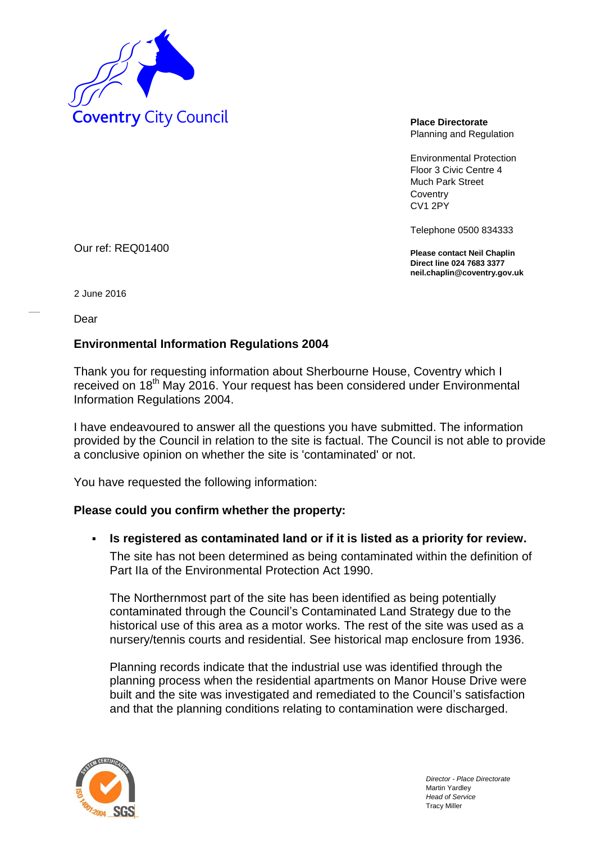

Planning and Regulation

Environmental Protection Floor 3 Civic Centre 4 Much Park Street **Coventry** CV1 2PY

Telephone 0500 834333

**Please contact Neil Chaplin Direct line 024 7683 3377 neil.chaplin@coventry.gov.uk**

Our ref: REQ01400

2 June 2016

Dear

## **Environmental Information Regulations 2004**

Thank you for requesting information about Sherbourne House, Coventry which I received on 18<sup>th</sup> May 2016. Your request has been considered under Environmental Information Regulations 2004.

I have endeavoured to answer all the questions you have submitted. The information provided by the Council in relation to the site is factual. The Council is not able to provide a conclusive opinion on whether the site is 'contaminated' or not.

You have requested the following information:

## **Please could you confirm whether the property:**

**Is registered as contaminated land or if it is listed as a priority for review.** 

The site has not been determined as being contaminated within the definition of Part IIa of the Environmental Protection Act 1990.

The Northernmost part of the site has been identified as being potentially contaminated through the Council's Contaminated Land Strategy due to the historical use of this area as a motor works. The rest of the site was used as a nursery/tennis courts and residential. See historical map enclosure from 1936.

Planning records indicate that the industrial use was identified through the planning process when the residential apartments on Manor House Drive were built and the site was investigated and remediated to the Council's satisfaction and that the planning conditions relating to contamination were discharged.

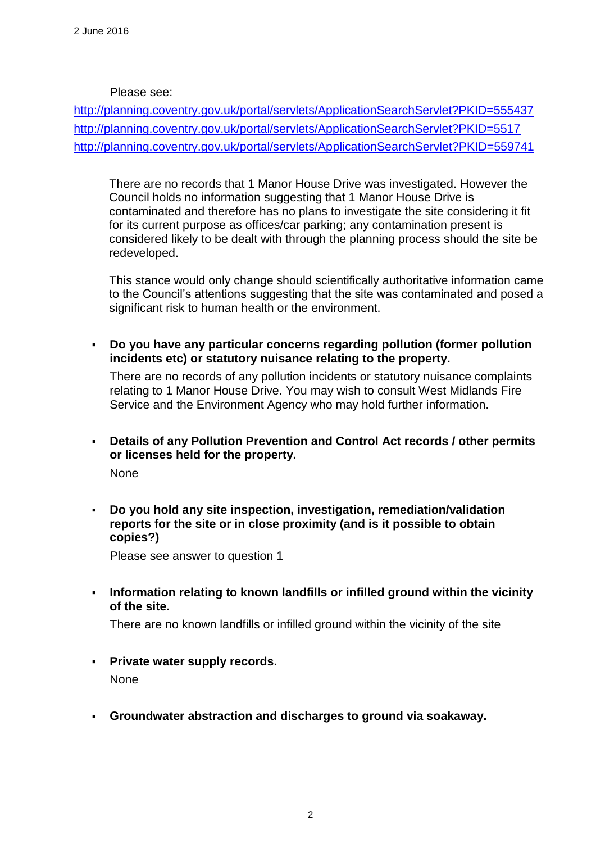## Please see:

<http://planning.coventry.gov.uk/portal/servlets/ApplicationSearchServlet?PKID=555437> <http://planning.coventry.gov.uk/portal/servlets/ApplicationSearchServlet?PKID=5517> <http://planning.coventry.gov.uk/portal/servlets/ApplicationSearchServlet?PKID=559741>

There are no records that 1 Manor House Drive was investigated. However the Council holds no information suggesting that 1 Manor House Drive is contaminated and therefore has no plans to investigate the site considering it fit for its current purpose as offices/car parking; any contamination present is considered likely to be dealt with through the planning process should the site be redeveloped.

This stance would only change should scientifically authoritative information came to the Council's attentions suggesting that the site was contaminated and posed a significant risk to human health or the environment.

 **Do you have any particular concerns regarding pollution (former pollution incidents etc) or statutory nuisance relating to the property.** 

There are no records of any pollution incidents or statutory nuisance complaints relating to 1 Manor House Drive. You may wish to consult West Midlands Fire Service and the Environment Agency who may hold further information.

 **Details of any Pollution Prevention and Control Act records / other permits or licenses held for the property.** 

None

 **Do you hold any site inspection, investigation, remediation/validation reports for the site or in close proximity (and is it possible to obtain copies?)** 

Please see answer to question 1

 **Information relating to known landfills or infilled ground within the vicinity of the site.** 

There are no known landfills or infilled ground within the vicinity of the site

**Private water supply records.** 

None

**Groundwater abstraction and discharges to ground via soakaway.**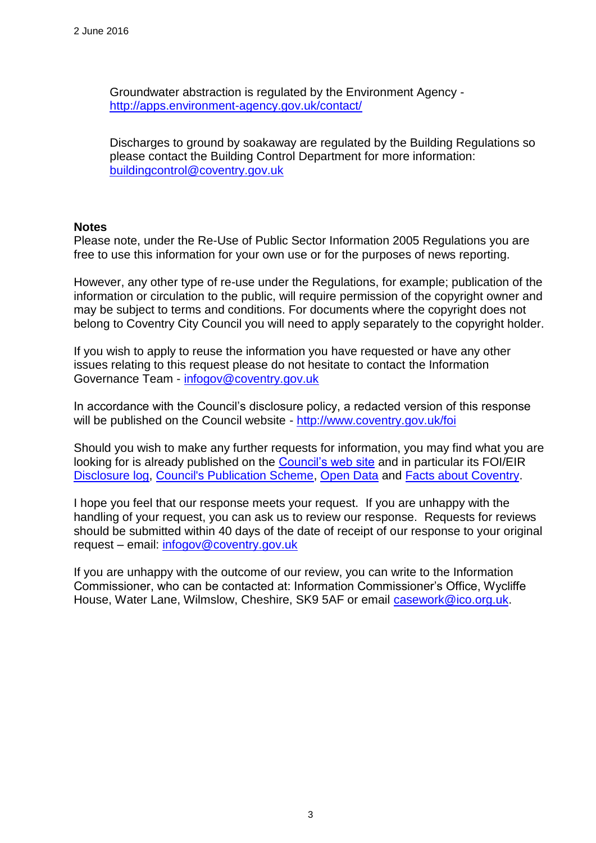Groundwater abstraction is regulated by the Environment Agency <http://apps.environment-agency.gov.uk/contact/>

Discharges to ground by soakaway are regulated by the Building Regulations so please contact the Building Control Department for more information: [buildingcontrol@coventry.gov.uk](mailto:buildingcontrol@coventry.gov.uk)

## **Notes**

Please note, under the Re-Use of Public Sector Information 2005 Regulations you are free to use this information for your own use or for the purposes of news reporting.

However, any other type of re-use under the Regulations, for example; publication of the information or circulation to the public, will require permission of the copyright owner and may be subject to terms and conditions. For documents where the copyright does not belong to Coventry City Council you will need to apply separately to the copyright holder.

If you wish to apply to reuse the information you have requested or have any other issues relating to this request please do not hesitate to contact the Information Governance Team - [infogov@coventry.gov.uk](mailto:infogov@coventry.gov.uk)

In accordance with the Council's disclosure policy, a redacted version of this response will be published on the Council website - <http://www.coventry.gov.uk/foi>

Should you wish to make any further requests for information, you may find what you are looking for is already published on the [Council's web site](http://www.coventry.gov.uk/) and in particular its FOI/EIR [Disclosure log,](http://www.coventry.gov.uk/foieirrequests) [Council's Publication Scheme,](http://www.coventry.gov.uk/publicationscheme) [Open Data](http://www.coventry.gov.uk/opendata) and [Facts about Coventry.](http://www.coventry.gov.uk/factsaboutcoventry)

I hope you feel that our response meets your request. If you are unhappy with the handling of your request, you can ask us to review our response. Requests for reviews should be submitted within 40 days of the date of receipt of our response to your original request – email: [infogov@coventry.gov.uk](mailto:infogov@coventry.gov.uk)

If you are unhappy with the outcome of our review, you can write to the Information Commissioner, who can be contacted at: Information Commissioner's Office, Wycliffe House, Water Lane, Wilmslow, Cheshire, SK9 5AF or email [casework@ico.org.uk.](mailto:casework@ico.org.uk)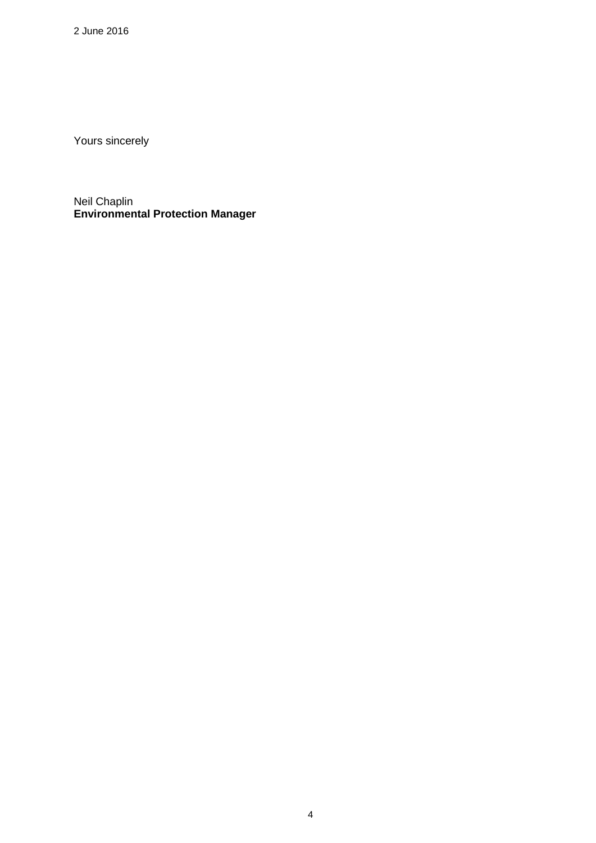2 June 2016

Yours sincerely

Neil Chaplin **Environmental Protection Manager**